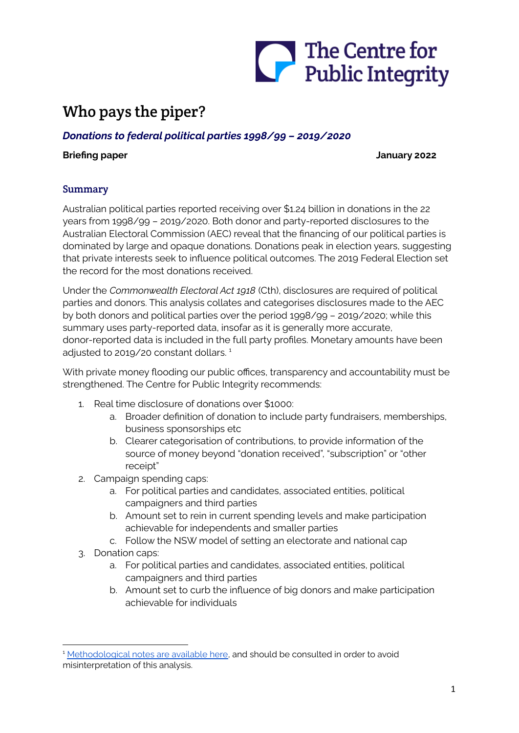

# Who pays the piper?

# *Donations to federal political parties 1998/99 – 2019/2020*

#### **Briefing paper January 2022**

### Summary

Australian political parties reported receiving over \$1.24 billion in donations in the 22 years from 1998/99 – 2019/2020. Both donor and party-reported disclosures to the Australian Electoral Commission (AEC) reveal that the financing of our political parties is dominated by large and opaque donations. Donations peak in election years, suggesting that private interests seek to influence political outcomes. The 2019 Federal Election set the record for the most donations received.

Under the *Commonwealth Electoral Act 1918* (Cth), disclosures are required of political parties and donors. This analysis collates and categorises disclosures made to the AEC by both donors and political parties over the period 1998/99 – 2019/2020; while this summary uses party-reported data, insofar as it is generally more accurate, donor-reported data is included in the full party profiles. Monetary amounts have been adjusted to 2019/20 constant dollars. 1

With private money flooding our public offices, transparency and accountability must be strengthened. The Centre for Public Integrity recommends:

- 1. Real time disclosure of donations over \$1000:
	- a. Broader definition of donation to include party fundraisers, memberships, business sponsorships etc
	- b. Clearer categorisation of contributions, to provide information of the source of money beyond "donation received", "subscription" or "other receipt"
- 2. Campaign spending caps:
	- a. For political parties and candidates, associated entities, political campaigners and third parties
	- b. Amount set to rein in current spending levels and make participation achievable for independents and smaller parties
	- c. Follow the NSW model of setting an electorate and national cap
- 3. Donation caps:
	- a. For political parties and candidates, associated entities, political campaigners and third parties
	- b. Amount set to curb the influence of big donors and make participation achievable for individuals

<sup>&</sup>lt;sup>1</sup> [Methodological](https://publicintegrity.org.au/wp-content/uploads/2022/01/Methodological-notes-250122.pdf) notes are available here, and should be consulted in order to avoid misinterpretation of this analysis.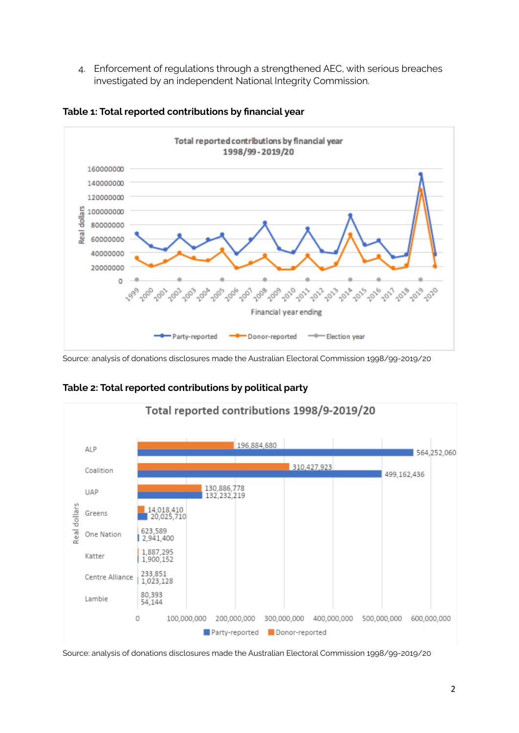4. Enforcement of regulations through a strengthened AEC, with serious breaches investigated by an independent National Integrity Commission.



**Table 1: Total reported contributions by financial year**

Source: analysis of donations disclosures made the Australian Electoral Commission 1998/99-2019/20



**Table 2: Total reported contributions by political party**

Source: analysis of donations disclosures made the Australian Electoral Commission 1998/99-2019/20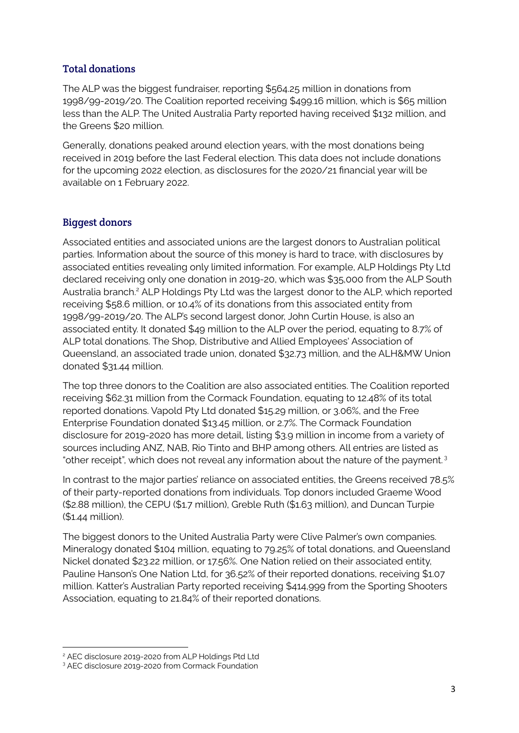# Total donations

The ALP was the biggest fundraiser, reporting \$564.25 million in donations from 1998/99-2019/20. The Coalition reported receiving \$499.16 million, which is \$65 million less than the ALP. The United Australia Party reported having received \$132 million, and the Greens \$20 million.

Generally, donations peaked around election years, with the most donations being received in 2019 before the last Federal election. This data does not include donations for the upcoming 2022 election, as disclosures for the 2020/21 financial year will be available on 1 February 2022.

# Biggest donors

Associated entities and associated unions are the largest donors to Australian political parties. Information about the source of this money is hard to trace, with disclosures by associated entities revealing only limited information. For example, ALP Holdings Pty Ltd declared receiving only one donation in 2019-20, which was \$35,000 from the ALP South Australia branch.<sup>2</sup> ALP Holdings Pty Ltd was the largest donor to the ALP, which reported receiving \$58.6 million, or 10.4% of its donations from this associated entity from 1998/99-2019/20. The ALP's second largest donor, John Curtin House, is also an associated entity. It donated \$49 million to the ALP over the period, equating to 8.7% of ALP total donations. The Shop, Distributive and Allied Employees' Association of Queensland, an associated trade union, donated \$32.73 million, and the ALH&MW Union donated \$31.44 million.

The top three donors to the Coalition are also associated entities. The Coalition reported receiving \$62.31 million from the Cormack Foundation, equating to 12.48% of its total reported donations. Vapold Pty Ltd donated \$15.29 million, or 3.06%, and the Free Enterprise Foundation donated \$13.45 million, or 2.7%. The Cormack Foundation disclosure for 2019-2020 has more detail, listing \$3.9 million in income from a variety of sources including ANZ, NAB, Rio Tinto and BHP among others. All entries are listed as "other receipt", which does not reveal any information about the nature of the payment.<sup>3</sup>

In contrast to the major parties' reliance on associated entities, the Greens received 78.5% of their party-reported donations from individuals. Top donors included Graeme Wood (\$2.88 million), the CEPU (\$1.7 million), Greble Ruth (\$1.63 million), and Duncan Turpie (\$1.44 million).

The biggest donors to the United Australia Party were Clive Palmer's own companies. Mineralogy donated \$104 million, equating to 79.25% of total donations, and Queensland Nickel donated \$23.22 million, or 17.56%. One Nation relied on their associated entity, Pauline Hanson's One Nation Ltd, for 36.52% of their reported donations, receiving \$1.07 million. Katter's Australian Party reported receiving \$414,999 from the Sporting Shooters Association, equating to 21.84% of their reported donations.

<sup>2</sup> AEC disclosure 2019-2020 from ALP Holdings Ptd Ltd

<sup>&</sup>lt;sup>3</sup> AEC disclosure 2019-2020 from Cormack Foundation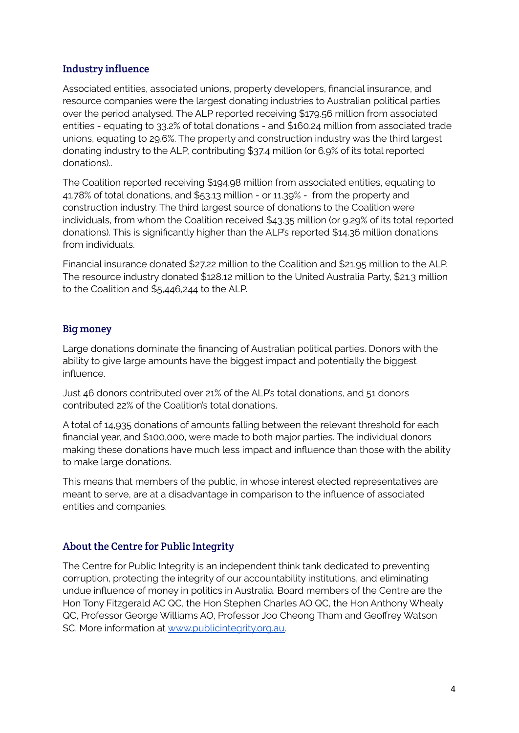# Industry influence

Associated entities, associated unions, property developers, financial insurance, and resource companies were the largest donating industries to Australian political parties over the period analysed. The ALP reported receiving \$179.56 million from associated entities - equating to 33.2% of total donations - and \$160.24 million from associated trade unions, equating to 29.6%. The property and construction industry was the third largest donating industry to the ALP, contributing \$37.4 million (or 6.9% of its total reported donations)..

The Coalition reported receiving \$194.98 million from associated entities, equating to 41.78% of total donations, and \$53.13 million - or 11.39% - from the property and construction industry. The third largest source of donations to the Coalition were individuals, from whom the Coalition received \$43.35 million (or 9.29% of its total reported donations). This is significantly higher than the ALP's reported \$14.36 million donations from individuals.

Financial insurance donated \$27.22 million to the Coalition and \$21.95 million to the ALP. The resource industry donated \$128.12 million to the United Australia Party, \$21.3 million to the Coalition and \$5,446,244 to the ALP.

# Big money

Large donations dominate the financing of Australian political parties. Donors with the ability to give large amounts have the biggest impact and potentially the biggest influence.

Just 46 donors contributed over 21% of the ALP's total donations, and 51 donors contributed 22% of the Coalition's total donations.

A total of 14,935 donations of amounts falling between the relevant threshold for each financial year, and \$100,000, were made to both major parties. The individual donors making these donations have much less impact and influence than those with the ability to make large donations.

This means that members of the public, in whose interest elected representatives are meant to serve, are at a disadvantage in comparison to the influence of associated entities and companies.

# About the Centre for Public Integrity

The Centre for Public Integrity is an independent think tank dedicated to preventing corruption, protecting the integrity of our accountability institutions, and eliminating undue influence of money in politics in Australia. Board members of the Centre are the Hon Tony Fitzgerald AC QC, the Hon Stephen Charles AO QC, the Hon Anthony Whealy QC, Professor George Williams AO, Professor Joo Cheong Tham and Geoffrey Watson SC. More information at [www.publicintegrity.org.au.](http://www.publicintegrity.org.au)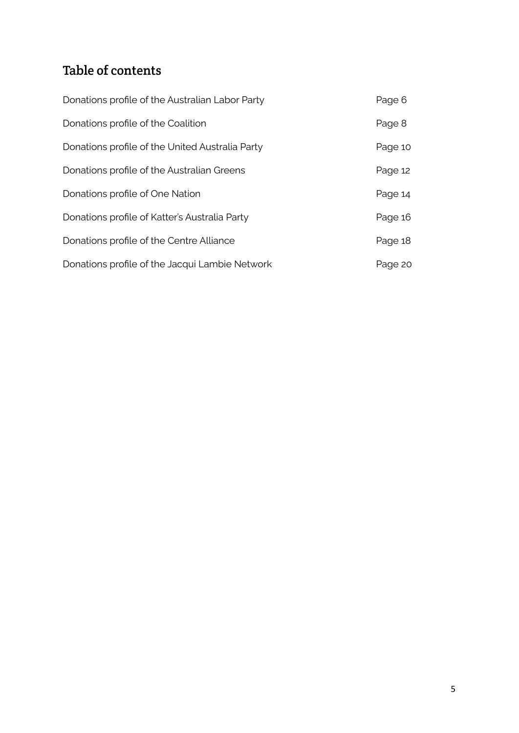# Table of contents

| Donations profile of the Australian Labor Party | Page 6  |
|-------------------------------------------------|---------|
| Donations profile of the Coalition              | Page 8  |
| Donations profile of the United Australia Party | Page 10 |
| Donations profile of the Australian Greens      | Page 12 |
| Donations profile of One Nation                 | Page 14 |
| Donations profile of Katter's Australia Party   | Page 16 |
| Donations profile of the Centre Alliance        | Page 18 |
| Donations profile of the Jacqui Lambie Network  | Page 20 |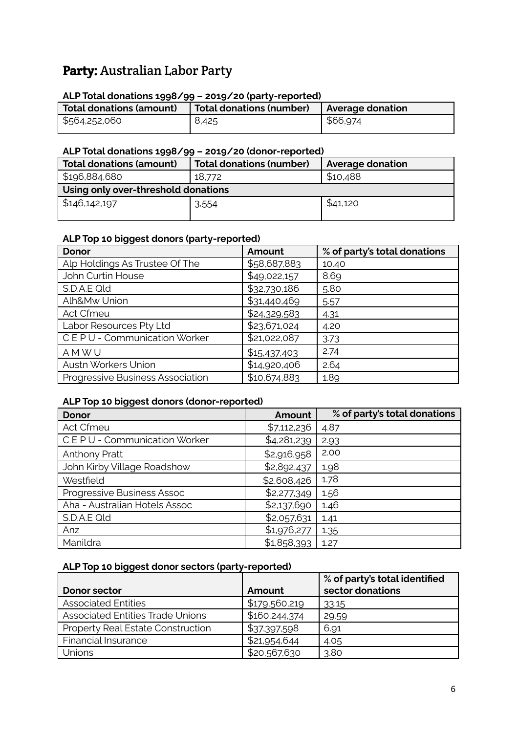# Party: Australian Labor Party

# **ALP Total donations 1998/99 – 2019/20 (party-reported)**

| Total donations (amount) | Total donations (number) | <b>Average donation</b> |
|--------------------------|--------------------------|-------------------------|
| \$564,252,060            | 8,425                    | \$66,974                |

#### **ALP Total donations 1998/99 – 2019/20 (donor-reported)**

| <b>Total donations (amount)</b>     | <b>Total donations (number)</b> | <b>Average donation</b> |  |
|-------------------------------------|---------------------------------|-------------------------|--|
| \$196,884,680                       | 18,772                          | \$10,488                |  |
| Using only over-threshold donations |                                 |                         |  |
| \$146,142,197                       | 3,554                           | \$41,120                |  |

# **ALP Top 10 biggest donors (party-reported)**

| <b>Donor</b>                            | Amount       | % of party's total donations |
|-----------------------------------------|--------------|------------------------------|
| Alp Holdings As Trustee Of The          | \$58,687,883 | 10.40                        |
| John Curtin House                       | \$49,022,157 | 8.69                         |
| S.D.A.E Qld                             | \$32,730,186 | 5.80                         |
| Alh&Mw Union                            | \$31,440,469 | 5.57                         |
| Act Cfmeu                               | \$24,329,583 | 4.31                         |
| Labor Resources Pty Ltd                 | \$23,671,024 | 4.20                         |
| CEPU - Communication Worker             | \$21,022,087 | 3.73                         |
| AMWU                                    | \$15,437,403 | 2.74                         |
| Austn Workers Union                     | \$14,920,406 | 2.64                         |
| <b>Progressive Business Association</b> | \$10,674,883 | 1.89                         |

### **ALP Top 10 biggest donors (donor-reported)**

| <b>Donor</b>                  | Amount      | % of party's total donations |
|-------------------------------|-------------|------------------------------|
| Act Cfmeu                     | \$7,112,236 | 4.87                         |
| CEPU - Communication Worker   | \$4,281,239 | 2.93                         |
| <b>Anthony Pratt</b>          | \$2,916,958 | 2.00                         |
| John Kirby Village Roadshow   | \$2,892,437 | 1.98                         |
| Westfield                     | \$2,608,426 | 1.78                         |
| Progressive Business Assoc    | \$2,277,349 | 1.56                         |
| Aha - Australian Hotels Assoc | \$2,137,690 | 1.46                         |
| S.D.A.E Qld                   | \$2,057,631 | 1.41                         |
| Anz                           | \$1,976,277 | 1.35                         |
| Manildra                      | \$1,858,393 | 1.27                         |

### **ALP Top 10 biggest donor sectors (party-reported)**

|                                          |               | % of party's total identified |
|------------------------------------------|---------------|-------------------------------|
| Donor sector                             | Amount        | sector donations              |
| <b>Associated Entities</b>               | \$179,560,219 | 33.15                         |
| <b>Associated Entities Trade Unions</b>  | \$160,244,374 | 29.59                         |
| <b>Property Real Estate Construction</b> | \$37,397,598  | 6.91                          |
| <b>Financial Insurance</b>               | \$21,954,644  | 4.05                          |
| Unions                                   | \$20,567,630  | 3.80                          |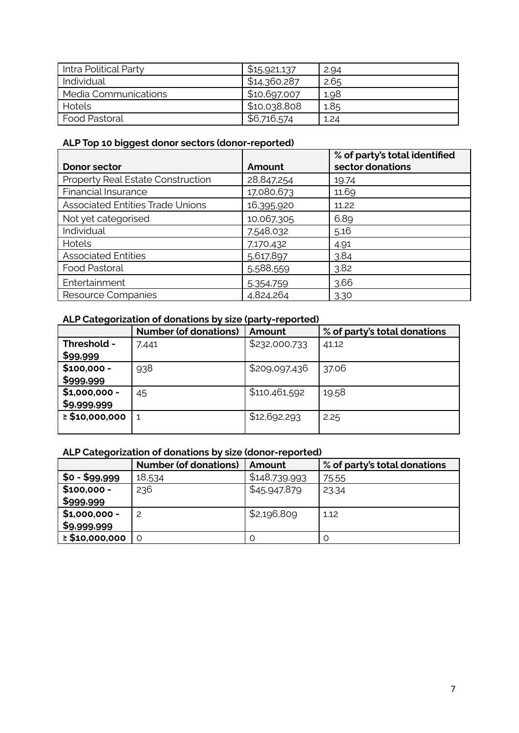| Intra Political Party | \$15,921,137 | 2.94 |
|-----------------------|--------------|------|
| Individual            | \$14,360,287 | 2.65 |
| Media Communications  | \$10,697,007 | 1.98 |
| Hotels                | \$10,038,808 | 1.85 |
| <b>Food Pastoral</b>  | \$6,716,574  | 1.24 |

# **ALP Top 10 biggest donor sectors (donor-reported)**

|                                          |            | % of party's total identified |
|------------------------------------------|------------|-------------------------------|
| Donor sector                             | Amount     | sector donations              |
| <b>Property Real Estate Construction</b> | 28,847,254 | 19.74                         |
| Financial Insurance                      | 17,080,673 | 11.69                         |
| <b>Associated Entities Trade Unions</b>  | 16,395,920 | 11.22                         |
| Not yet categorised                      | 10,067,305 | 6.89                          |
| Individual                               | 7,548,032  | 5.16                          |
| Hotels                                   | 7,170,432  | 4.91                          |
| <b>Associated Entities</b>               | 5,617,897  | 3.84                          |
| Food Pastoral                            | 5,588,559  | 3.82                          |
| Entertainment                            | 5,354,759  | 3.66                          |
| Resource Companies                       | 4,824,264  | 3.30                          |

# **ALP Categorization of donations by size (party-reported)**

|                     | <b>Number (of donations)</b> | Amount        | % of party's total donations |
|---------------------|------------------------------|---------------|------------------------------|
| Threshold -         | 7,441                        | \$232,000,733 | 41.12                        |
| \$99,999            |                              |               |                              |
| $$100,000 -$        | 938                          | \$209,097,436 | 37.06                        |
| \$999,999           |                              |               |                              |
| $$1,000,000 -$      | 45                           | \$110,461,592 | 19.58                        |
| \$9,999,999         |                              |               |                              |
| $\geq$ \$10,000,000 |                              | \$12,692,293  | 2.25                         |
|                     |                              |               |                              |

# **ALP Categorization of donations by size (donor-reported)**

|                     | <b>Number (of donations)</b> | Amount        | % of party's total donations |
|---------------------|------------------------------|---------------|------------------------------|
| \$0 - \$99,999      | 18,534                       | \$148,739,993 | 75.55                        |
| $$100,000 -$        | 236                          | \$45,947,879  | 23.34                        |
| \$999,999           |                              |               |                              |
| $$1,000,000 -$      |                              | \$2,196,809   | 1.12                         |
| \$9,999,999         |                              |               |                              |
| $\geq$ \$10,000,000 | O                            | O             |                              |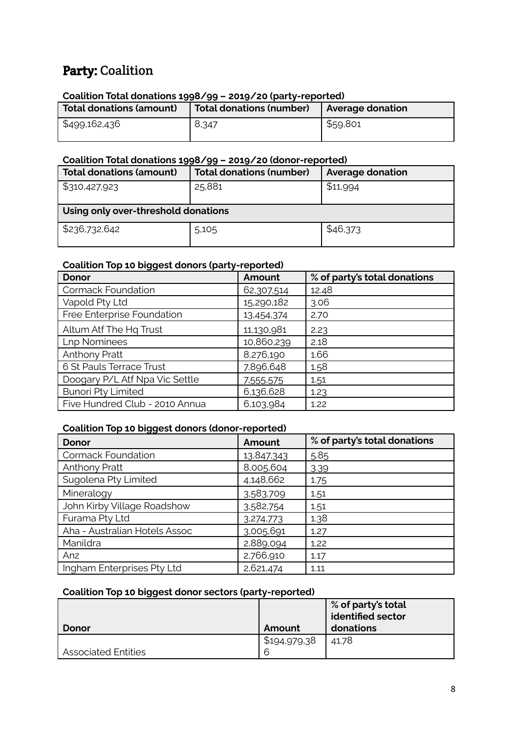# Party: Coalition

#### **Coalition Total donations 1998/99 – 2019/20 (party-reported)**

| Total donations (amount) | <b>Total donations (number)</b> | Average donation |
|--------------------------|---------------------------------|------------------|
| \$499,162,436            | 8,347                           | \$59,801         |

# **Coalition Total donations 1998/99 – 2019/20 (donor-reported)**

| Total donations (amount)            | <b>Total donations (number)</b> | <b>Average donation</b> |  |
|-------------------------------------|---------------------------------|-------------------------|--|
| \$310,427,923                       | 25,881                          | \$11,994                |  |
| Using only over-threshold donations |                                 |                         |  |
| \$236,732,642                       | 5,105                           | \$46,373                |  |

### **Coalition Top 10 biggest donors (party-reported)**

| <b>Donor</b>                   | Amount     | % of party's total donations |
|--------------------------------|------------|------------------------------|
| <b>Cormack Foundation</b>      | 62,307,514 | 12.48                        |
| Vapold Pty Ltd                 | 15,290,182 | 3.06                         |
| Free Enterprise Foundation     | 13,454,374 | 2.70                         |
| Altum Atf The Hq Trust         | 11,130,981 | 2.23                         |
| <b>Lnp Nominees</b>            | 10,860,239 | 2.18                         |
| Anthony Pratt                  | 8,276,190  | 1.66                         |
| 6 St Pauls Terrace Trust       | 7,896,648  | 1.58                         |
| Doogary P/L Atf Npa Vic Settle | 7,555,575  | 1.51                         |
| <b>Bunori Pty Limited</b>      | 6,136,628  | 1.23                         |
| Five Hundred Club - 2010 Annua | 6,103,984  | 1.22                         |

#### **Coalition Top 10 biggest donors (donor-reported)**

| <b>Donor</b>                  | Amount     | % of party's total donations |
|-------------------------------|------------|------------------------------|
| <b>Cormack Foundation</b>     | 13,847,343 | 5.85                         |
| Anthony Pratt                 | 8,005,604  | 3.39                         |
| Sugolena Pty Limited          | 4,148,662  | 1.75                         |
| Mineralogy                    | 3.583.709  | 1.51                         |
| John Kirby Village Roadshow   | 3,582,754  | 1.51                         |
| Furama Pty Ltd                | 3,274,773  | 1.38                         |
| Aha - Australian Hotels Assoc | 3,005,691  | 1.27                         |
| Manildra                      | 2,889,094  | 1.22                         |
| Anz                           | 2,766,910  | 1.17                         |
| Ingham Enterprises Pty Ltd    | 2,621,474  | 1.11                         |

### **Coalition Top 10 biggest donor sectors (party-reported)**

|                            |              | % of party's total<br>dentified sector |
|----------------------------|--------------|----------------------------------------|
| Donor                      | Amount       | donations                              |
|                            | \$194,979,38 | 41.78                                  |
| <b>Associated Entities</b> | 6            |                                        |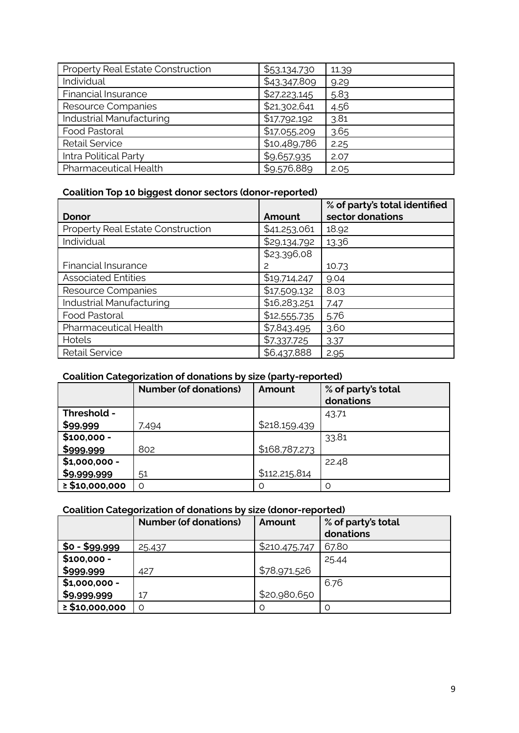| Property Real Estate Construction | \$53,134,730 | 11.39 |
|-----------------------------------|--------------|-------|
| Individual                        | \$43,347,809 | 9.29  |
| <b>Financial Insurance</b>        | \$27,223,145 | 5.83  |
| Resource Companies                | \$21,302,641 | 4.56  |
| Industrial Manufacturing          | \$17,792,192 | 3.81  |
| <b>Food Pastoral</b>              | \$17,055,209 | 3.65  |
| <b>Retail Service</b>             | \$10,489,786 | 2.25  |
| Intra Political Party             | \$9,657,935  | 2.07  |
| Pharmaceutical Health             | \$9,576,889  | 2.05  |

# **Coalition Top 10 biggest donor sectors (donor-reported)**

|                                   |              | % of party's total identified |
|-----------------------------------|--------------|-------------------------------|
| Donor                             | Amount       | sector donations              |
| Property Real Estate Construction | \$41,253,061 | 18.92                         |
| Individual                        | \$29,134,792 | 13.36                         |
|                                   | \$23,396,08  |                               |
| <b>Financial Insurance</b>        | 2            | 10.73                         |
| <b>Associated Entities</b>        | \$19,714,247 | 9.04                          |
| Resource Companies                | \$17,509,132 | 8.03                          |
| Industrial Manufacturing          | \$16,283,251 | 7.47                          |
| Food Pastoral                     | \$12,555,735 | 5.76                          |
| Pharmaceutical Health             | \$7,843,495  | 3.60                          |
| Hotels                            | \$7,337,725  | 3.37                          |
| <b>Retail Service</b>             | \$6,437,888  | 2.95                          |

# **Coalition Categorization of donations by size (party-reported)**

|                     | <b>Number (of donations)</b> | Amount          | % of party's total<br>donations |
|---------------------|------------------------------|-----------------|---------------------------------|
| Threshold -         |                              |                 | 43.71                           |
| \$99,999            | 7,494                        | \$218,159,439   |                                 |
| $$100,000 -$        |                              |                 | 33.81                           |
| \$999,999           | 802                          | \$168,787,273   |                                 |
| $$1,000,000 -$      |                              |                 | 22.48                           |
| \$9,999,999         | 51                           | \$112, 215, 814 |                                 |
| $\geq$ \$10,000,000 | $\Omega$                     | O               | Ω                               |

# **Coalition Categorization of donations by size (donor-reported)**

|                     | <b>Number (of donations)</b> | Amount        | % of party's total<br>donations |
|---------------------|------------------------------|---------------|---------------------------------|
| $$0 - $99,999$      | 25,437                       | \$210,475,747 | 67.80                           |
| $$100,000 -$        |                              |               | 25.44                           |
| \$999,999           | 427                          | \$78,971,526  |                                 |
| $$1,000,000 -$      |                              |               | 6.76                            |
| \$9,999,999         | 17                           | \$20,980,650  |                                 |
| $\geq$ \$10,000,000 | $\Omega$                     | O             | O                               |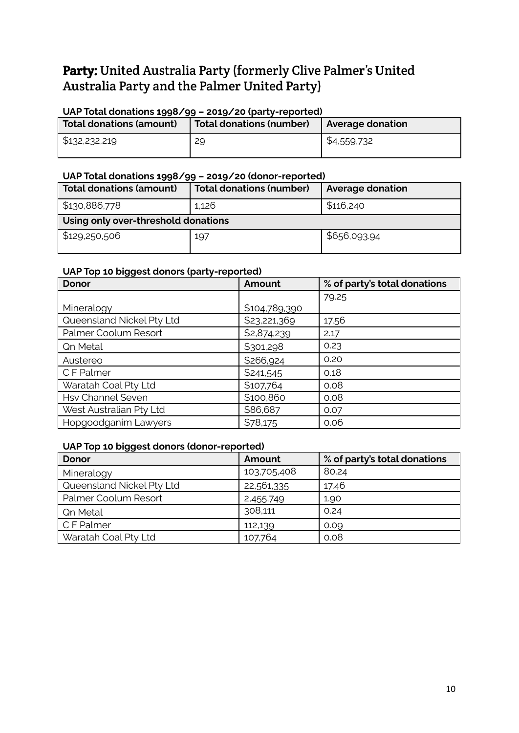# Party: United Australia Party (formerly Clive Palmer's United Australia Party and the Palmer United Party)

### **UAP Total donations 1998/99 – 2019/20 (party-reported)**

| Total donations (amount) | <b>Total donations (number)</b> | <b>Average donation</b> |
|--------------------------|---------------------------------|-------------------------|
| \$132,232,219            | 29                              | \$4,559,732             |

#### **UAP Total donations 1998/99 – 2019/20 (donor-reported)**

| <b>Total donations (amount)</b>     | <b>Total donations (number)</b> | <b>Average donation</b> |
|-------------------------------------|---------------------------------|-------------------------|
| \$130,886,778                       | 1,126                           | \$116,240               |
| Using only over-threshold donations |                                 |                         |
| \$129,250,506                       | 197                             | \$656,093.94            |

### **UAP Top 10 biggest donors (party-reported)**

| <b>Donor</b>              | Amount        | % of party's total donations |
|---------------------------|---------------|------------------------------|
|                           |               | 79.25                        |
| Mineralogy                | \$104,789,390 |                              |
| Queensland Nickel Pty Ltd | \$23,221,369  | 17.56                        |
| Palmer Coolum Resort      | \$2,874,239   | 2.17                         |
| <b>Qn Metal</b>           | \$301,298     | 0.23                         |
| Austereo                  | \$266,924     | 0.20                         |
| C F Palmer                | \$241,545     | 0.18                         |
| Waratah Coal Pty Ltd      | \$107,764     | 0.08                         |
| <b>Hsv Channel Seven</b>  | \$100,860     | 0.08                         |
| West Australian Pty Ltd   | \$86,687      | 0.07                         |
| Hopgoodganim Lawyers      | \$78,175      | 0.06                         |

### **UAP Top 10 biggest donors (donor-reported)**

| <b>Donor</b>              | Amount      | % of party's total donations |
|---------------------------|-------------|------------------------------|
| Mineralogy                | 103,705,408 | 80.24                        |
| Queensland Nickel Pty Ltd | 22,561,335  | 17.46                        |
| Palmer Coolum Resort      | 2,455,749   | 1.90                         |
| <b>Qn Metal</b>           | 308,111     | 0.24                         |
| C F Palmer                | 112,139     | 0.09                         |
| Waratah Coal Pty Ltd      | 107,764     | 0.08                         |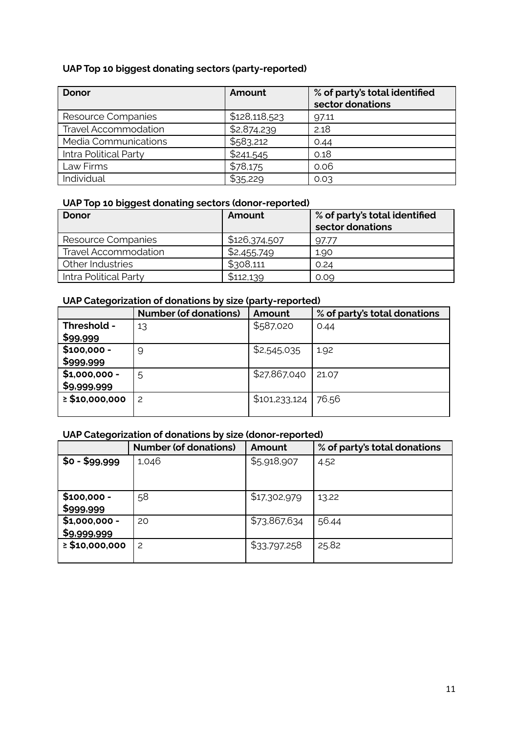# **UAP Top 10 biggest donating sectors (party-reported)**

| Donor                       | Amount        | % of party's total identified<br>sector donations |
|-----------------------------|---------------|---------------------------------------------------|
| Resource Companies          | \$128,118,523 | 97.11                                             |
| <b>Travel Accommodation</b> | \$2,874,239   | 2.18                                              |
| Media Communications        | \$583,212     | 0.44                                              |
| Intra Political Party       | \$241,545     | 0.18                                              |
| Law Firms                   | \$78,175      | 0.06                                              |
| Individual                  | \$35,229      | 0.03                                              |

# **UAP Top 10 biggest donating sectors (donor-reported)**

| Donor                       | Amount        | % of party's total identified<br>sector donations |
|-----------------------------|---------------|---------------------------------------------------|
| Resource Companies          | \$126,374,507 | 97.77                                             |
| <b>Travel Accommodation</b> | \$2,455,749   | 1.90                                              |
| Other Industries            | \$308,111     | 0.24                                              |
| Intra Political Party       | \$112,139     | 0.09                                              |

### **UAP Categorization of donations by size (party-reported)**

|                     | <b>Number (of donations)</b> | Amount        | % of party's total donations |
|---------------------|------------------------------|---------------|------------------------------|
| Threshold -         | 13                           | \$587,020     | 0.44                         |
| \$99,999            |                              |               |                              |
| $$100,000 -$        | 9                            | \$2,545,035   | 1.92                         |
| \$999,999           |                              |               |                              |
| $$1,000,000 -$      | 5                            | \$27,867,040  | 21.07                        |
| \$9,999,999         |                              |               |                              |
| $\geq$ \$10,000,000 | 2                            | \$101,233,124 | 76.56                        |
|                     |                              |               |                              |

# **UAP Categorization of donations by size (donor-reported)**

|                     | <b>Number (of donations)</b> | Amount       | % of party's total donations |
|---------------------|------------------------------|--------------|------------------------------|
| $$0 - $99,999$      | 1,046                        | \$5,918,907  | 4.52                         |
|                     |                              |              |                              |
|                     |                              |              |                              |
| $$100,000 -$        | 58                           | \$17,302,979 | 13.22                        |
| \$999,999           |                              |              |                              |
| $$1,000,000 -$      | 20                           | \$73,867,634 | 56.44                        |
| \$9,999,999         |                              |              |                              |
| $\geq$ \$10,000,000 | 2                            | \$33,797,258 | 25.82                        |
|                     |                              |              |                              |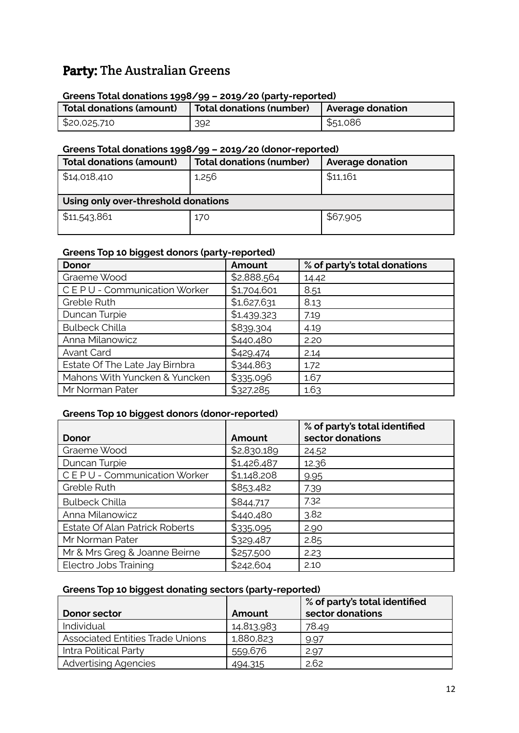# Party: The Australian Greens

#### **Greens Total donations 1998/99 – 2019/20 (party-reported)**

| <b>Total donations (amount)</b> | Total donations (number)   Average donation |          |
|---------------------------------|---------------------------------------------|----------|
| \$20,025,710                    | 392                                         | \$51,086 |

#### **Greens Total donations 1998/99 – 2019/20 (donor-reported)**

| <b>Total donations (amount)</b>     | <b>Total donations (number)</b> | <b>Average donation</b> |  |  |
|-------------------------------------|---------------------------------|-------------------------|--|--|
| \$14,018,410                        | 1,256                           | \$11,161                |  |  |
| Using only over-threshold donations |                                 |                         |  |  |
| \$11,543,861                        | 170                             | \$67,905                |  |  |

#### **Greens Top 10 biggest donors (party-reported)**

| ັັ<br><b>Donor</b>             | Amount      | % of party's total donations |
|--------------------------------|-------------|------------------------------|
| Graeme Wood                    | \$2,888,564 | 14.42                        |
| CEPU - Communication Worker    | \$1,704,601 | 8.51                         |
| Greble Ruth                    | \$1,627,631 | 8.13                         |
| Duncan Turpie                  | \$1,439,323 | 7.19                         |
| <b>Bulbeck Chilla</b>          | \$839,304   | 4.19                         |
| Anna Milanowicz                | \$440,480   | 2.20                         |
| Avant Card                     | \$429,474   | 2.14                         |
| Estate Of The Late Jay Birnbra | \$344,863   | 1.72                         |
| Mahons With Yuncken & Yuncken  | \$335,096   | 1.67                         |
| Mr Norman Pater                | \$327,285   | 1.63                         |

#### **Greens Top 10 biggest donors (donor-reported)**

|                                |             | % of party's total identified |
|--------------------------------|-------------|-------------------------------|
| Donor                          | Amount      | sector donations              |
| Graeme Wood                    | \$2,830,189 | 24.52                         |
| Duncan Turpie                  | \$1,426,487 | 12.36                         |
| CEPU - Communication Worker    | \$1,148,208 | 9.95                          |
| Greble Ruth                    | \$853,482   | 7.39                          |
| <b>Bulbeck Chilla</b>          | \$844,717   | 7.32                          |
| Anna Milanowicz                | \$440,480   | 3.82                          |
| Estate Of Alan Patrick Roberts | \$335,095   | 2.90                          |
| Mr Norman Pater                | \$329,487   | 2.85                          |
| Mr & Mrs Greg & Joanne Beirne  | \$257,500   | 2.23                          |
| Electro Jobs Training          | \$242,604   | 2.10                          |

### **Greens Top 10 biggest donating sectors (party-reported)**

|                                         |            | % of party's total identified |
|-----------------------------------------|------------|-------------------------------|
| Donor sector                            | Amount     | sector donations              |
| Individual                              | 14,813,983 | 78.49                         |
| <b>Associated Entities Trade Unions</b> | 1,880,823  | 9.97                          |
| Intra Political Party                   | 559,676    | 2.97                          |
| <b>Advertising Agencies</b>             | 494,315    | 2.62                          |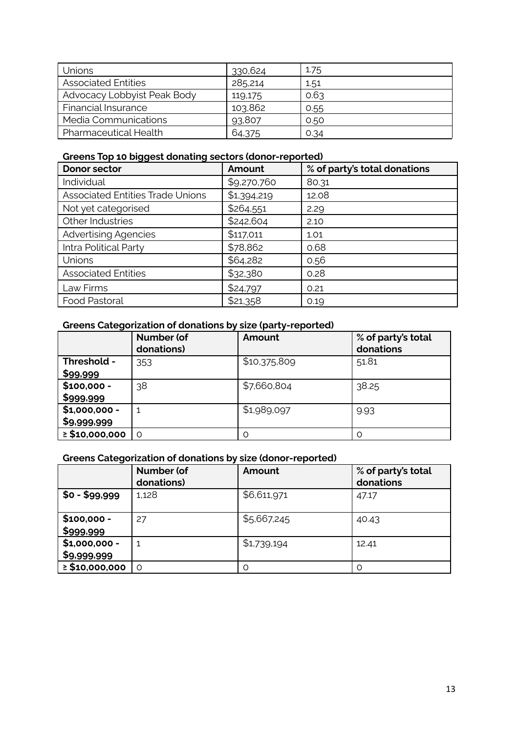| Unions                       | 330,624 | 1.75 |
|------------------------------|---------|------|
| <b>Associated Entities</b>   | 285,214 | 1.51 |
| Advocacy Lobbyist Peak Body  | 119,175 | 0.63 |
| <b>Financial Insurance</b>   | 103,862 | 0.55 |
| Media Communications         | 93,807  | 0.50 |
| <b>Pharmaceutical Health</b> | 64,375  | 0.34 |

# **Greens Top 10 biggest donating sectors (donor-reported)**

| <b>Donor sector</b>                     | Amount      | % of party's total donations |
|-----------------------------------------|-------------|------------------------------|
| Individual                              | \$9,270,760 | 80.31                        |
| <b>Associated Entities Trade Unions</b> | \$1,394,219 | 12.08                        |
| Not yet categorised                     | \$264,551   | 2.29                         |
| Other Industries                        | \$242,604   | 2.10                         |
| <b>Advertising Agencies</b>             | \$117,011   | 1.01                         |
| Intra Political Party                   | \$78,862    | 0.68                         |
| Unions                                  | \$64,282    | 0.56                         |
| <b>Associated Entities</b>              | \$32,380    | 0.28                         |
| Law Firms                               | \$24,797    | 0.21                         |
| Food Pastoral                           | \$21,358    | 0.19                         |

# **Greens Categorization of donations by size (party-reported)**

|                     | <b>Number (of</b><br>donations) | Amount       | % of party's total<br>donations |
|---------------------|---------------------------------|--------------|---------------------------------|
| Threshold -         | 353                             | \$10,375,809 | 51.81                           |
| \$99,999            |                                 |              |                                 |
| $$100,000 -$        | 38                              | \$7,660,804  | 38.25                           |
| \$999,999           |                                 |              |                                 |
| $$1,000,000 -$      |                                 | \$1,989,097  | 9.93                            |
| \$9,999,999         |                                 |              |                                 |
| $\geq$ \$10,000,000 | ∩                               | $\Omega$     |                                 |

# **Greens Categorization of donations by size (donor-reported)**

|                               | <b>Number (of</b><br>donations) | Amount      | % of party's total<br>donations |
|-------------------------------|---------------------------------|-------------|---------------------------------|
| $$0 - $99,999$                | 1,128                           | \$6,611,971 | 47.17                           |
| $$100,000 -$<br>\$999,999     | 27                              | \$5,667,245 | 40.43                           |
| $$1,000,000 -$<br>\$9,999,999 |                                 | \$1,739,194 | 12.41                           |
| $\geq$ \$10,000,000           | $\Omega$                        | Ω           |                                 |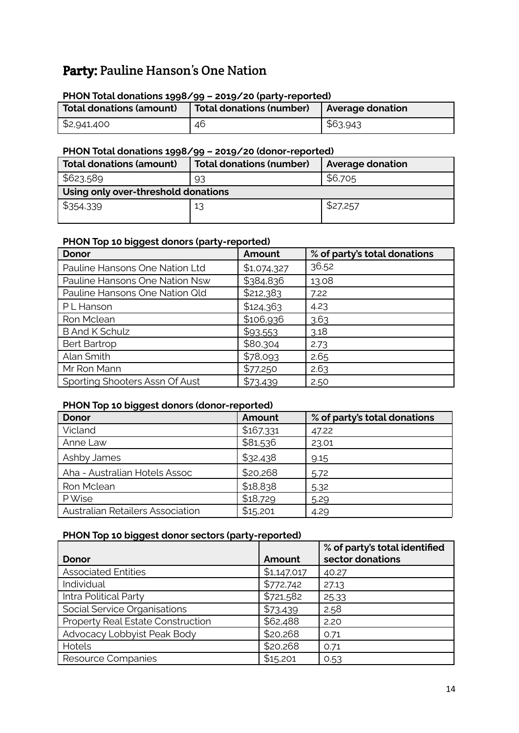# Party: Pauline Hanson's One Nation

#### **PHON Total donations 1998/99 – 2019/20 (party-reported)**

| Total donations (amount) | Total donations (number)   Average donation |          |
|--------------------------|---------------------------------------------|----------|
| \$2,941,400              | 46                                          | \$63,943 |

#### **PHON Total donations 1998/99 – 2019/20 (donor-reported)**

| Total donations (amount)            | <b>Total donations (number)</b> | <b>Average donation</b> |  |
|-------------------------------------|---------------------------------|-------------------------|--|
| \$623,589                           | 93                              | \$6,705                 |  |
| Using only over-threshold donations |                                 |                         |  |
| \$354,339                           | 13                              | \$27,257                |  |

#### **PHON Top 10 biggest donors (party-reported)**

| <b>Donor</b>                   | Amount      | % of party's total donations |
|--------------------------------|-------------|------------------------------|
| Pauline Hansons One Nation Ltd | \$1,074,327 | 36.52                        |
| Pauline Hansons One Nation Nsw | \$384,836   | 13.08                        |
| Pauline Hansons One Nation Old | \$212,383   | 7.22                         |
| PL Hanson                      | \$124,363   | 4.23                         |
| Ron Mclean                     | \$106,936   | 3.63                         |
| <b>B And K Schulz</b>          | \$93,553    | 3.18                         |
| <b>Bert Bartrop</b>            | \$80,304    | 2.73                         |
| Alan Smith                     | \$78,093    | 2.65                         |
| Mr Ron Mann                    | \$77,250    | 2.63                         |
| Sporting Shooters Assn Of Aust | \$73,439    | 2.50                         |

### **PHON Top 10 biggest donors (donor-reported)**

| - 22 -<br><b>Donor</b>           | Amount    | % of party's total donations |
|----------------------------------|-----------|------------------------------|
| Vicland                          | \$167,331 | 47.22                        |
| Anne Law                         | \$81,536  | 23.01                        |
| Ashby James                      | \$32,438  | 9.15                         |
| Aha - Australian Hotels Assoc    | \$20,268  | 5.72                         |
| Ron Mclean                       | \$18,838  | 5.32                         |
| P Wise                           | \$18,729  | 5.29                         |
| Australian Retailers Association | \$15,201  | 4.29                         |

#### **PHON Top 10 biggest donor sectors (party-reported)**

| Donor                             | Amount      | % of party's total identified<br>sector donations |
|-----------------------------------|-------------|---------------------------------------------------|
| <b>Associated Entities</b>        | \$1,147,017 | 40.27                                             |
| Individual                        | \$772,742   | 27.13                                             |
| Intra Political Party             | \$721,582   | 25.33                                             |
| Social Service Organisations      | \$73,439    | 2.58                                              |
| Property Real Estate Construction | \$62,488    | 2.20                                              |
| Advocacy Lobbyist Peak Body       | \$20,268    | 0.71                                              |
| Hotels                            | \$20,268    | 0.71                                              |
| Resource Companies                | \$15,201    | 0.53                                              |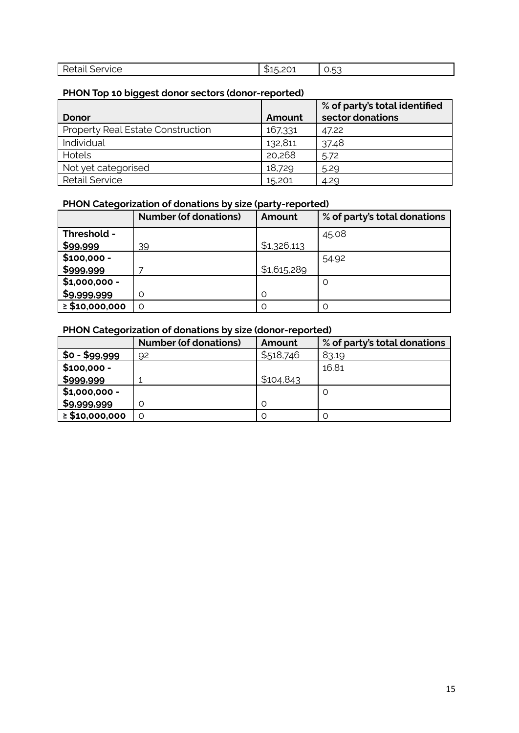| .<br>'VICE.<br>. ابان | ັ | --<br>ı<br>J.<br>ົ |
|-----------------------|---|--------------------|

# **PHON Top 10 biggest donor sectors (donor-reported)**

|                                          |         | % of party's total identified |
|------------------------------------------|---------|-------------------------------|
| Donor                                    | Amount  | sector donations              |
| <b>Property Real Estate Construction</b> | 167,331 | 47.22                         |
| Individual                               | 132,811 | 37.48                         |
| Hotels                                   | 20,268  | 5.72                          |
| Not yet categorised                      | 18,729  | 5.29                          |
| <b>Retail Service</b>                    | 15,201  | 4.29                          |

# **PHON Categorization of donations by size (party-reported)**

|                     | <b>Number (of donations)</b> | Amount      | % of party's total donations |
|---------------------|------------------------------|-------------|------------------------------|
| Threshold -         |                              |             | 45.08                        |
| \$99,999            | 39                           | \$1,326,113 |                              |
| $$100,000 -$        |                              |             | 54.92                        |
| \$999,999           |                              | \$1,615,289 |                              |
| $$1,000,000 -$      |                              |             | O                            |
| \$9,999,999         |                              | $\Omega$    |                              |
| $\geq$ \$10,000,000 | ∩                            | Ω           |                              |

# **PHON Categorization of donations by size (donor-reported)**

|                       | <b>Number (of donations)</b> | Amount    | % of party's total donations |
|-----------------------|------------------------------|-----------|------------------------------|
| <b>\$0 - \$99,999</b> | 92                           | \$518,746 | 83.19                        |
| $$100,000 -$          |                              |           | 16.81                        |
| \$999,999             |                              | \$104,843 |                              |
| $$1,000,000 -$        |                              |           | O                            |
| \$9,999,999           |                              | O         |                              |
| $\geq$ \$10,000,000   |                              | O         |                              |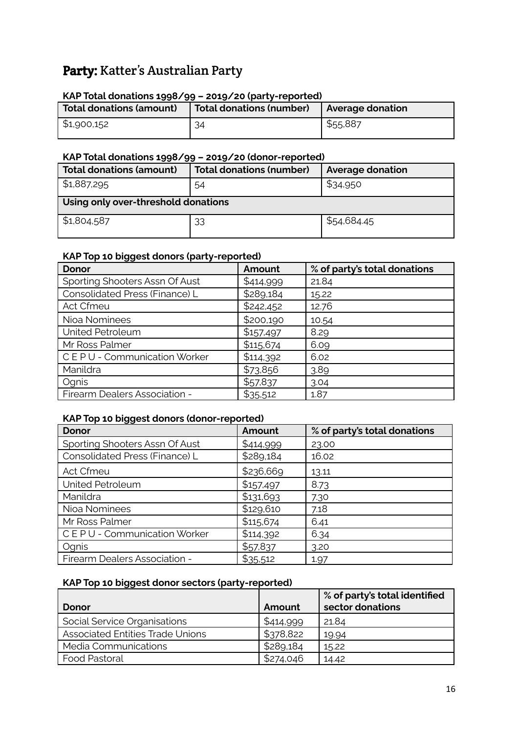# Party: Katter's Australian Party

#### **KAP Total donations 1998/99 – 2019/20 (party-reported)**

| Total donations (amount) | Total donations (number) | Average donation |
|--------------------------|--------------------------|------------------|
| \$1,900,152              | 34                       | \$55,887         |

#### **KAP Total donations 1998/99 – 2019/20 (donor-reported)**

| <b>Total donations (amount)</b>     | <b>Total donations (number)</b> | <b>Average donation</b> |  |
|-------------------------------------|---------------------------------|-------------------------|--|
| 51,887,295                          | 54                              | \$34,950                |  |
| Using only over-threshold donations |                                 |                         |  |
| $\frac{1}{2}$ \$1,804,587           | 33                              | \$54,684.45             |  |

### **KAP Top 10 biggest donors (party-reported)**

| <b>Donor</b>                   | Amount    | % of party's total donations |
|--------------------------------|-----------|------------------------------|
| Sporting Shooters Assn Of Aust | \$414,999 | 21.84                        |
| Consolidated Press (Finance) L | \$289,184 | 15.22                        |
| Act Cfmeu                      | \$242,452 | 12.76                        |
| Nioa Nominees                  | \$200,190 | 10.54                        |
| United Petroleum               | \$157,497 | 8.29                         |
| Mr Ross Palmer                 | \$115,674 | 6.09                         |
| CEPU - Communication Worker    | \$114,392 | 6.02                         |
| Manildra                       | \$73,856  | 3.89                         |
| Ognis                          | \$57,837  | 3.04                         |
| Firearm Dealers Association -  | \$35,512  | 1.87                         |

#### **KAP Top 10 biggest donors (donor-reported)**

| <b>Donor</b>                   | Amount    | % of party's total donations |
|--------------------------------|-----------|------------------------------|
| Sporting Shooters Assn Of Aust | \$414,999 | 23.00                        |
| Consolidated Press (Finance) L | \$289,184 | 16.02                        |
| <b>Act Cfmeu</b>               | \$236,669 | 13.11                        |
| United Petroleum               | \$157,497 | 8.73                         |
| Manildra                       | \$131,693 | 7.30                         |
| Nioa Nominees                  | \$129,610 | 7.18                         |
| Mr Ross Palmer                 | \$115,674 | 6.41                         |
| CEPU - Communication Worker    | \$114,392 | 6.34                         |
| Ognis                          | \$57,837  | 3.20                         |
| Firearm Dealers Association -  | \$35,512  | 1.97                         |

# **KAP Top 10 biggest donor sectors (party-reported)**

| Donor                                   | Amount    | % of party's total identified<br>sector donations |
|-----------------------------------------|-----------|---------------------------------------------------|
| Social Service Organisations            | \$414,999 | 21.84                                             |
| <b>Associated Entities Trade Unions</b> | \$378,822 | 19.94                                             |
| Media Communications                    | \$289,184 | 15.22                                             |
| <b>Food Pastoral</b>                    | \$274,046 | 14.42                                             |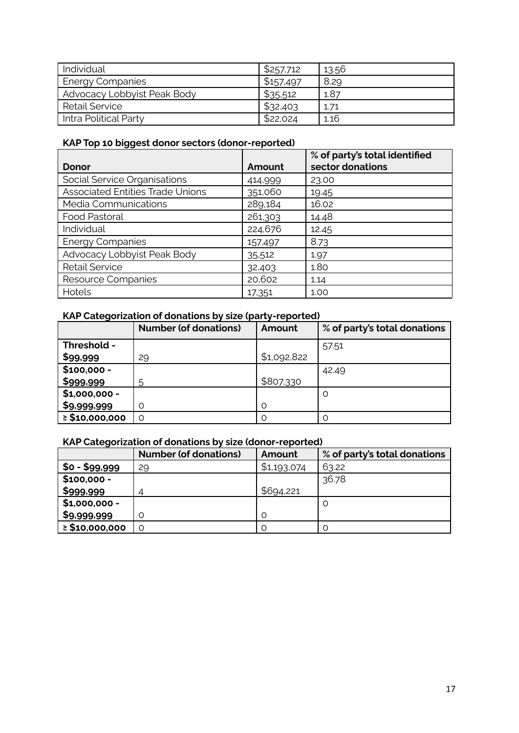| Individual                  | \$257,712 | 13.56 |
|-----------------------------|-----------|-------|
| Energy Companies            | \$157,497 | 8.29  |
| Advocacy Lobbyist Peak Body | \$35,512  | 1.87  |
| <b>Retail Service</b>       | \$32,403  | 1.71  |
| Intra Political Party       | \$22,024  | 1.16  |

# **KAP Top 10 biggest donor sectors (donor-reported)**

|                                         |         | % of party's total identified |
|-----------------------------------------|---------|-------------------------------|
| Donor                                   | Amount  | sector donations              |
| Social Service Organisations            | 414,999 | 23.00                         |
| <b>Associated Entities Trade Unions</b> | 351,060 | 19.45                         |
| Media Communications                    | 289,184 | 16.02                         |
| Food Pastoral                           | 261,303 | 14.48                         |
| Individual                              | 224,676 | 12.45                         |
| <b>Energy Companies</b>                 | 157,497 | 8.73                          |
| Advocacy Lobbyist Peak Body             | 35,512  | 1.97                          |
| <b>Retail Service</b>                   | 32,403  | 1.80                          |
| Resource Companies                      | 20,602  | 1.14                          |
| Hotels                                  | 17,351  | 1.00                          |

# **KAP Categorization of donations by size (party-reported)**

|                     | <b>Number (of donations)</b> | Amount      | % of party's total donations |
|---------------------|------------------------------|-------------|------------------------------|
| Threshold -         |                              |             | 57.51                        |
| \$99,999            | 29                           | \$1,092,822 |                              |
| $$100,000 -$        |                              |             | 42.49                        |
| \$999,999           | 5                            | \$807,330   |                              |
| $$1,000,000 -$      |                              |             | O                            |
| \$9,999,999         |                              | Ω           |                              |
| $\geq$ \$10,000,000 | $\Omega$                     | Ω           |                              |

# **KAP Categorization of donations by size (donor-reported)**

|                     | <b>Number (of donations)</b> | Amount      | % of party's total donations |
|---------------------|------------------------------|-------------|------------------------------|
| $$0 - $99,999$      | 29                           | \$1,193,074 | 63.22                        |
| $$100,000 -$        |                              |             | 36.78                        |
| \$999,999           |                              | \$694,221   |                              |
| $$1,000,000 -$      |                              |             | O                            |
| \$9,999,999         |                              | O           |                              |
| $\geq$ \$10,000,000 |                              | Ω           |                              |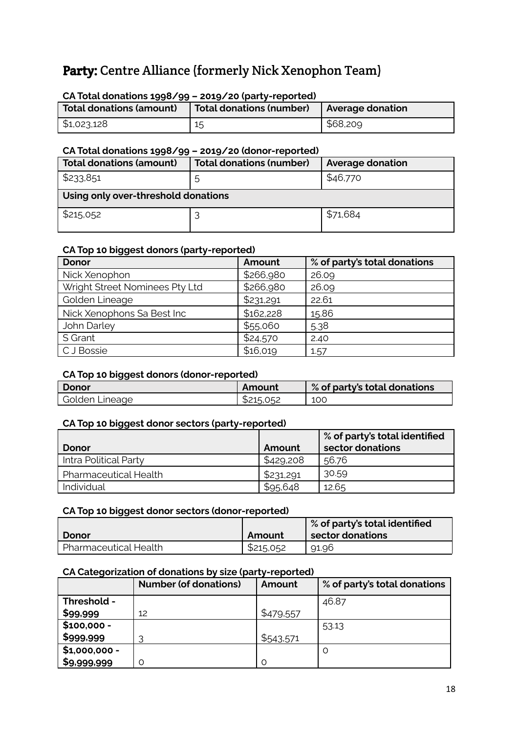# Party: Centre Alliance (formerly Nick Xenophon Team)

# **Total donations (amount) Total donations (number) Average donation**  $$1,023,128$   $15$   $$68,209$

#### **CA Total donations 1998/99 – 2019/20 (party-reported)**

#### **CA Total donations 1998/99 – 2019/20 (donor-reported)**

| <b>Total donations (amount)</b>     | <b>Total donations (number)</b> | <b>Average donation</b> |
|-------------------------------------|---------------------------------|-------------------------|
| \$233,851                           | b                               | \$46,770                |
| Using only over-threshold donations |                                 |                         |
| \$215,052                           |                                 | \$71,684                |

#### **CA Top 10 biggest donors (party-reported)**

| <b>Donor</b>                   | Amount    | % of party's total donations |
|--------------------------------|-----------|------------------------------|
| Nick Xenophon                  | \$266,980 | 26.09                        |
| Wright Street Nominees Pty Ltd | \$266,980 | 26.09                        |
| Golden Lineage                 | \$231,291 | 22.61                        |
| Nick Xenophons Sa Best Inc     | \$162,228 | 15.86                        |
| John Darley                    | \$55,060  | 5.38                         |
| S Grant                        | \$24,570  | 2.40                         |
| C J Bossie                     | \$16,019  | 1.57                         |

#### **CA Top 10 biggest donors (donor-reported)**

| ັ              |           |                              |
|----------------|-----------|------------------------------|
| Donor          | Amount    | % of party's total donations |
| Golden Lineage | \$215,052 | 100                          |

#### **CA Top 10 biggest donor sectors (party-reported)**

|                       |           | $\frac{1}{2}$ % of party's total identified |
|-----------------------|-----------|---------------------------------------------|
| Donor                 | Amount    | sector donations                            |
| Intra Political Party | \$429,208 | 56.76                                       |
| Pharmaceutical Health | \$231,291 | 30.59                                       |
| 'Individual           | \$95,648  | 12.65                                       |

#### **CA Top 10 biggest donor sectors (donor-reported)**

|                              |           | <b>Sof party's total identified</b> |
|------------------------------|-----------|-------------------------------------|
| Donor                        | Amount    | sector donations                    |
| <b>Pharmaceutical Health</b> | \$215,052 | 91.96                               |

#### **CA Categorization of donations by size (party-reported)**

|                | <b>Number (of donations)</b> | Amount    | % of party's total donations |
|----------------|------------------------------|-----------|------------------------------|
| Threshold -    |                              |           | 46.87                        |
| \$99,999       | 12                           | \$479,557 |                              |
| $$100,000 -$   |                              |           | 53.13                        |
| \$999,999      |                              | \$543,571 |                              |
| $$1,000,000 -$ |                              |           |                              |
| \$9,999,999    |                              |           |                              |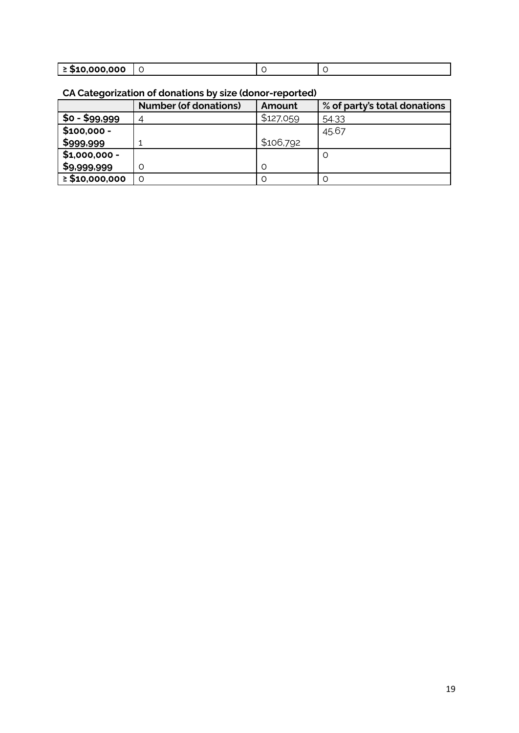| $\geq$ \$10,000,000 |  |  |
|---------------------|--|--|

# **CA Categorization of donations by size (donor-reported)**

|                     | <b>Number (of donations)</b> | Amount    | % of party's total donations |
|---------------------|------------------------------|-----------|------------------------------|
| $$o - $99,999$      | 4                            | \$127,059 | 54.33                        |
| $$100,000 -$        |                              |           | 45.67                        |
| \$999,999           |                              | \$106,792 |                              |
| $$1,000,000 -$      |                              |           | O                            |
| \$9,999,999         |                              | O         |                              |
| $\geq$ \$10,000,000 |                              | Ω         |                              |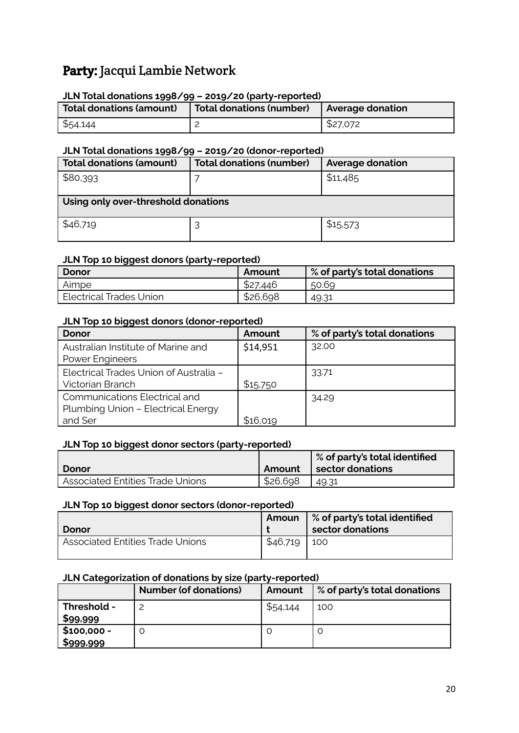# Party: Jacqui Lambie Network

### **JLN Total donations 1998/99 – 2019/20 (party-reported)**

| Total donations (amount) | Total donations (number)   Average donation |          |
|--------------------------|---------------------------------------------|----------|
| \$54,144                 |                                             | \$27,072 |

#### **JLN Total donations 1998/99 – 2019/20 (donor-reported)**

| <b>Total donations (amount)</b>     | <b>Total donations (number)</b> | <b>Average donation</b> |  |
|-------------------------------------|---------------------------------|-------------------------|--|
| \$80,393                            |                                 | \$11,485                |  |
| Using only over-threshold donations |                                 |                         |  |
| \$46,719                            |                                 | \$15,573                |  |

#### **JLN Top 10 biggest donors (party-reported)**

| Donor                     | Amount   | $\%$ of party's total donations |
|---------------------------|----------|---------------------------------|
| Aimpe                     | \$27,446 | 50.69                           |
| I Electrical Trades Union | \$26,698 | 49.31                           |

### **JLN Top 10 biggest donors (donor-reported)**

| Donor                                  | Amount   | % of party's total donations |
|----------------------------------------|----------|------------------------------|
| Australian Institute of Marine and     | \$14,951 | 32.00                        |
| Power Engineers                        |          |                              |
| Electrical Trades Union of Australia - |          | 33.71                        |
| Victorian Branch                       | \$15,750 |                              |
| <b>Communications Electrical and</b>   |          | 34.29                        |
| Plumbing Union - Electrical Energy     |          |                              |
| and Ser                                | \$16,019 |                              |

#### **JLN Top 10 biggest donor sectors (party-reported)**

|                                         |          | <b>Sof party's total identified</b> |
|-----------------------------------------|----------|-------------------------------------|
| Donor                                   | Amount   | sector donations                    |
| <b>Associated Entities Trade Unions</b> | \$26,698 | 49.31                               |

#### **JLN Top 10 biggest donor sectors (donor-reported)**

| Donor                                   |                 | Amoun   % of party's total identified<br>sector donations |
|-----------------------------------------|-----------------|-----------------------------------------------------------|
| <b>Associated Entities Trade Unions</b> | $$46,719$   100 |                                                           |

### **JLN Categorization of donations by size (party-reported)**

|                           | <b>Number (of donations)</b> | Amount   | % of party's total donations |
|---------------------------|------------------------------|----------|------------------------------|
| Threshold -<br>\$99,999   |                              | \$54,144 | 100                          |
| $$100,000 -$<br>\$999,999 |                              |          |                              |